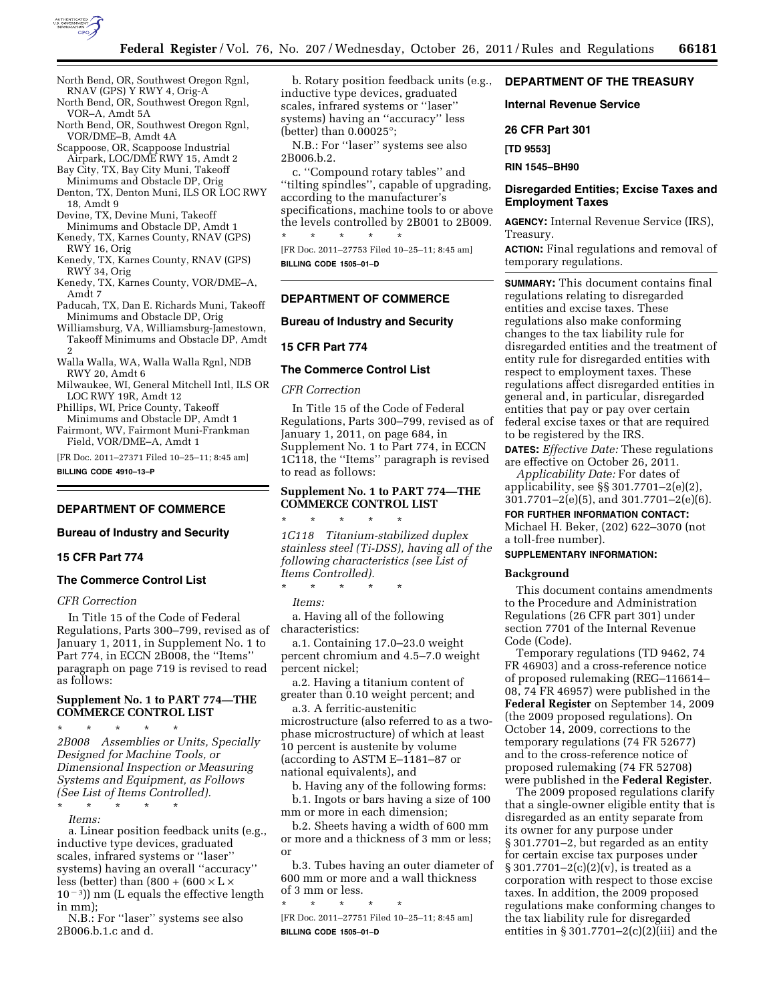

- North Bend, OR, Southwest Oregon Rgnl, RNAV (GPS) Y RWY 4, Orig-A
- North Bend, OR, Southwest Oregon Rgnl, VOR–A, Amdt 5A
- North Bend, OR, Southwest Oregon Rgnl, VOR/DME–B, Amdt 4A
- Scappoose, OR, Scappoose Industrial Airpark, LOC/DME RWY 15, Amdt 2
- Bay City, TX, Bay City Muni, Takeoff Minimums and Obstacle DP, Orig
- Denton, TX, Denton Muni, ILS OR LOC RWY 18, Amdt 9
- Devine, TX, Devine Muni, Takeoff Minimums and Obstacle DP, Amdt 1
- Kenedy, TX, Karnes County, RNAV (GPS) RWY 16, Orig
- Kenedy, TX, Karnes County, RNAV (GPS) RWY 34, Orig
- Kenedy, TX, Karnes County, VOR/DME–A, Amdt 7
- Paducah, TX, Dan E. Richards Muni, Takeoff Minimums and Obstacle DP, Orig

Williamsburg, VA, Williamsburg-Jamestown, Takeoff Minimums and Obstacle DP, Amdt 2

Walla Walla, WA, Walla Walla Rgnl, NDB RWY 20, Amdt 6

Milwaukee, WI, General Mitchell Intl, ILS OR LOC RWY 19R, Amdt 12

Phillips, WI, Price County, Takeoff Minimums and Obstacle DP, Amdt 1

Fairmont, WV, Fairmont Muni-Frankman Field, VOR/DME–A, Amdt 1

[FR Doc. 2011–27371 Filed 10–25–11; 8:45 am] **BILLING CODE 4910–13–P** 

# **DEPARTMENT OF COMMERCE**

# **Bureau of Industry and Security**

# **15 CFR Part 774**

## **The Commerce Control List**

### *CFR Correction*

In Title 15 of the Code of Federal Regulations, Parts 300–799, revised as of characteristics: January 1, 2011, in Supplement No. 1 to Part 774, in ECCN 2B008, the ''Items'' paragraph on page 719 is revised to read as follows:

### **Supplement No. 1 to PART 774—THE COMMERCE CONTROL LIST**

\* \* \* \* \* *2B008 Assemblies or Units, Specially Designed for Machine Tools, or Dimensional Inspection or Measuring Systems and Equipment, as Follows (See List of Items Controlled).*  \* \* \* \* \*

*Items:* 

a. Linear position feedback units (e.g., inductive type devices, graduated scales, infrared systems or ''laser'' systems) having an overall ''accuracy'' less (better) than  $(800 + (600 \times L \times$  $(10^{-3})$ ) nm (L equals the effective length in mm);

N.B.: For ''laser'' systems see also 2B006.b.1.c and d.

b. Rotary position feedback units (e.g., inductive type devices, graduated scales, infrared systems or ''laser'' systems) having an ''accuracy'' less (better) than 0.00025°;

N.B.: For ''laser'' systems see also 2B006.b.2.

c. ''Compound rotary tables'' and ''tilting spindles'', capable of upgrading, according to the manufacturer's specifications, machine tools to or above the levels controlled by 2B001 to 2B009.

\* \* \* \* \* [FR Doc. 2011–27753 Filed 10–25–11; 8:45 am] **BILLING CODE 1505–01–D** 

## **DEPARTMENT OF COMMERCE**

### **Bureau of Industry and Security**

### **15 CFR Part 774**

#### **The Commerce Control List**

#### *CFR Correction*

In Title 15 of the Code of Federal Regulations, Parts 300–799, revised as of January 1, 2011, on page 684, in Supplement No. 1 to Part 774, in ECCN 1C118, the ''Items'' paragraph is revised to read as follows:

## **Supplement No. 1 to PART 774—THE COMMERCE CONTROL LIST**

\* \* \* \* \* *1C118 Titanium-stabilized duplex stainless steel (Ti-DSS), having all of the following characteristics (see List of Items Controlled).* 

*Items:* 

a. Having all of the following

\* \* \* \* \*

a.1. Containing 17.0–23.0 weight percent chromium and 4.5–7.0 weight percent nickel;

a.2. Having a titanium content of greater than 0.10 weight percent; and

a.3. A ferritic-austenitic microstructure (also referred to as a twophase microstructure) of which at least 10 percent is austenite by volume (according to ASTM E–1181–87 or national equivalents), and

b. Having any of the following forms: b.1. Ingots or bars having a size of 100 mm or more in each dimension;

b.2. Sheets having a width of 600 mm or more and a thickness of 3 mm or less; or

b.3. Tubes having an outer diameter of 600 mm or more and a wall thickness of 3 mm or less.

\* \* \* \* \* [FR Doc. 2011–27751 Filed 10–25–11; 8:45 am] **BILLING CODE 1505–01–D** 

# **DEPARTMENT OF THE TREASURY**

### **Internal Revenue Service**

**26 CFR Part 301** 

**[TD 9553]** 

**RIN 1545–BH90** 

### **Disregarded Entities; Excise Taxes and Employment Taxes**

**AGENCY:** Internal Revenue Service (IRS), Treasury.

**ACTION:** Final regulations and removal of temporary regulations.

**SUMMARY:** This document contains final regulations relating to disregarded entities and excise taxes. These regulations also make conforming changes to the tax liability rule for disregarded entities and the treatment of entity rule for disregarded entities with respect to employment taxes. These regulations affect disregarded entities in general and, in particular, disregarded entities that pay or pay over certain federal excise taxes or that are required to be registered by the IRS.

**DATES:** *Effective Date:* These regulations are effective on October 26, 2011.

*Applicability Date:* For dates of applicability, see §§ 301.7701–2(e)(2), 301.7701–2(e)(5), and 301.7701–2(e)(6).

**FOR FURTHER INFORMATION CONTACT:** 

Michael H. Beker, (202) 622–3070 (not a toll-free number).

## **SUPPLEMENTARY INFORMATION:**

#### **Background**

This document contains amendments to the Procedure and Administration Regulations (26 CFR part 301) under section 7701 of the Internal Revenue Code (Code).

Temporary regulations (TD 9462, 74 FR 46903) and a cross-reference notice of proposed rulemaking (REG–116614– 08, 74 FR 46957) were published in the **Federal Register** on September 14, 2009 (the 2009 proposed regulations). On October 14, 2009, corrections to the temporary regulations (74 FR 52677) and to the cross-reference notice of proposed rulemaking (74 FR 52708) were published in the **Federal Register**.

The 2009 proposed regulations clarify that a single-owner eligible entity that is disregarded as an entity separate from its owner for any purpose under § 301.7701–2, but regarded as an entity for certain excise tax purposes under  $§ 301.7701 - 2(c)(2)(v)$ , is treated as a corporation with respect to those excise taxes. In addition, the 2009 proposed regulations make conforming changes to the tax liability rule for disregarded entities in  $\S 301.7701 - 2(c)(2)(iii)$  and the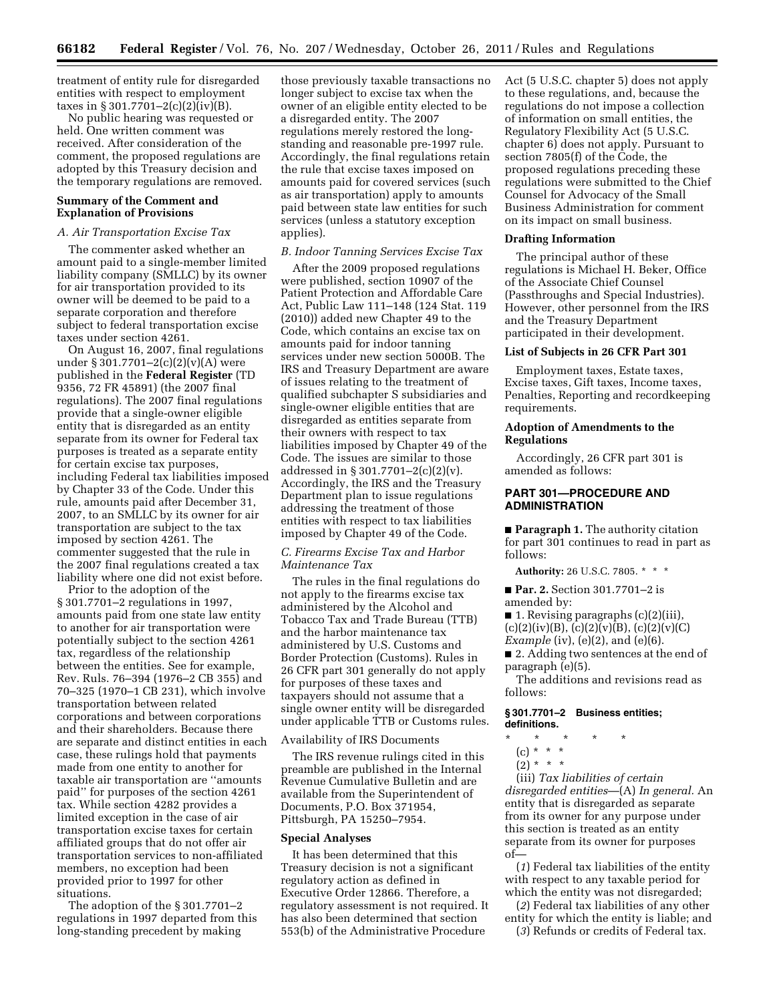treatment of entity rule for disregarded entities with respect to employment taxes in § 301.7701–2(c)(2)(iv)(B).

No public hearing was requested or held. One written comment was received. After consideration of the comment, the proposed regulations are adopted by this Treasury decision and the temporary regulations are removed.

# **Summary of the Comment and Explanation of Provisions**

### *A. Air Transportation Excise Tax*

The commenter asked whether an amount paid to a single-member limited liability company (SMLLC) by its owner for air transportation provided to its owner will be deemed to be paid to a separate corporation and therefore subject to federal transportation excise taxes under section 4261.

On August 16, 2007, final regulations under § 301.7701–2(c)(2)(v)(A) were published in the **Federal Register** (TD 9356, 72 FR 45891) (the 2007 final regulations). The 2007 final regulations provide that a single-owner eligible entity that is disregarded as an entity separate from its owner for Federal tax purposes is treated as a separate entity for certain excise tax purposes, including Federal tax liabilities imposed by Chapter 33 of the Code. Under this rule, amounts paid after December 31, 2007, to an SMLLC by its owner for air transportation are subject to the tax imposed by section 4261. The commenter suggested that the rule in the 2007 final regulations created a tax liability where one did not exist before.

Prior to the adoption of the § 301.7701–2 regulations in 1997, amounts paid from one state law entity to another for air transportation were potentially subject to the section 4261 tax, regardless of the relationship between the entities. See for example, Rev. Ruls. 76–394 (1976–2 CB 355) and 70–325 (1970–1 CB 231), which involve transportation between related corporations and between corporations and their shareholders. Because there are separate and distinct entities in each case, these rulings hold that payments made from one entity to another for taxable air transportation are ''amounts paid'' for purposes of the section 4261 tax. While section 4282 provides a limited exception in the case of air transportation excise taxes for certain affiliated groups that do not offer air transportation services to non-affiliated members, no exception had been provided prior to 1997 for other situations.

The adoption of the § 301.7701–2 regulations in 1997 departed from this long-standing precedent by making

those previously taxable transactions no longer subject to excise tax when the owner of an eligible entity elected to be a disregarded entity. The 2007 regulations merely restored the longstanding and reasonable pre-1997 rule. Accordingly, the final regulations retain the rule that excise taxes imposed on amounts paid for covered services (such as air transportation) apply to amounts paid between state law entities for such services (unless a statutory exception applies).

### *B. Indoor Tanning Services Excise Tax*

After the 2009 proposed regulations were published, section 10907 of the Patient Protection and Affordable Care Act, Public Law 111–148 (124 Stat. 119 (2010)) added new Chapter 49 to the Code, which contains an excise tax on amounts paid for indoor tanning services under new section 5000B. The IRS and Treasury Department are aware of issues relating to the treatment of qualified subchapter S subsidiaries and single-owner eligible entities that are disregarded as entities separate from their owners with respect to tax liabilities imposed by Chapter 49 of the Code. The issues are similar to those addressed in § 301.7701–2(c)(2)(v). Accordingly, the IRS and the Treasury Department plan to issue regulations addressing the treatment of those entities with respect to tax liabilities imposed by Chapter 49 of the Code.

# *C. Firearms Excise Tax and Harbor Maintenance Tax*

The rules in the final regulations do not apply to the firearms excise tax administered by the Alcohol and Tobacco Tax and Trade Bureau (TTB) and the harbor maintenance tax administered by U.S. Customs and Border Protection (Customs). Rules in 26 CFR part 301 generally do not apply for purposes of these taxes and taxpayers should not assume that a single owner entity will be disregarded under applicable TTB or Customs rules.

# Availability of IRS Documents

The IRS revenue rulings cited in this preamble are published in the Internal Revenue Cumulative Bulletin and are available from the Superintendent of Documents, P.O. Box 371954, Pittsburgh, PA 15250–7954.

#### **Special Analyses**

It has been determined that this Treasury decision is not a significant regulatory action as defined in Executive Order 12866. Therefore, a regulatory assessment is not required. It has also been determined that section 553(b) of the Administrative Procedure

Act (5 U.S.C. chapter 5) does not apply to these regulations, and, because the regulations do not impose a collection of information on small entities, the Regulatory Flexibility Act (5 U.S.C. chapter 6) does not apply. Pursuant to section 7805(f) of the Code, the proposed regulations preceding these regulations were submitted to the Chief Counsel for Advocacy of the Small Business Administration for comment on its impact on small business.

#### **Drafting Information**

The principal author of these regulations is Michael H. Beker, Office of the Associate Chief Counsel (Passthroughs and Special Industries). However, other personnel from the IRS and the Treasury Department participated in their development.

### **List of Subjects in 26 CFR Part 301**

Employment taxes, Estate taxes, Excise taxes, Gift taxes, Income taxes, Penalties, Reporting and recordkeeping requirements.

# **Adoption of Amendments to the Regulations**

Accordingly, 26 CFR part 301 is amended as follows:

# **PART 301—PROCEDURE AND ADMINISTRATION**

■ **Paragraph 1.** The authority citation for part 301 continues to read in part as follows:

**Authority:** 26 U.S.C. 7805. \* \* \*

■ **Par. 2.** Section 301.7701-2 is amended by:

■ 1. Revising paragraphs (c)(2)(iii),  $(c)(2)(iv)(B), (c)(2)(v)(B), (c)(2)(v)(C)$ *Example* (iv), (e)(2), and (e)(6).

■ 2. Adding two sentences at the end of paragraph (e)(5).

The additions and revisions read as follows:

# **§ 301.7701–2 Business entities; definitions.**

- \* \* \* \* \*
	- (c) \* \* \*
	- $(2) * * * *$

(iii) *Tax liabilities of certain disregarded entities*—(A) *In general.* An entity that is disregarded as separate from its owner for any purpose under this section is treated as an entity separate from its owner for purposes of—

(*1*) Federal tax liabilities of the entity with respect to any taxable period for which the entity was not disregarded;

(*2*) Federal tax liabilities of any other entity for which the entity is liable; and (*3*) Refunds or credits of Federal tax.